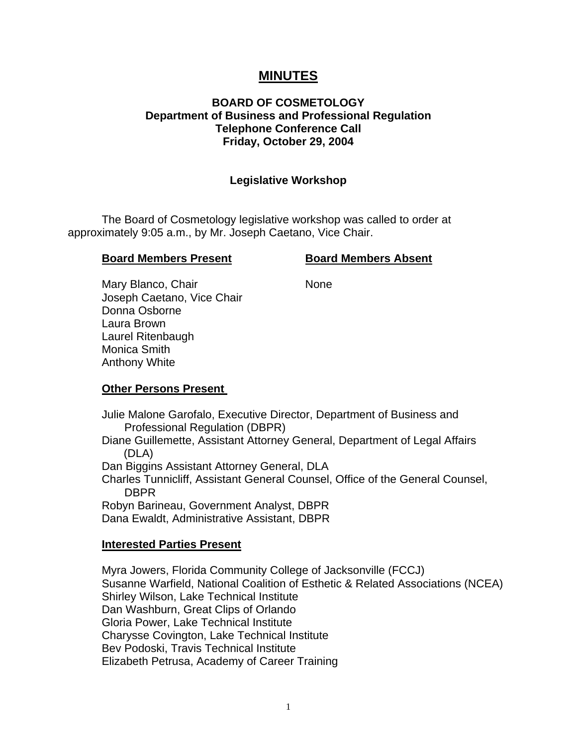# **MINUTES**

# **BOARD OF COSMETOLOGY Department of Business and Professional Regulation Telephone Conference Call Friday, October 29, 2004**

#### **Legislative Workshop**

The Board of Cosmetology legislative workshop was called to order at approximately 9:05 a.m., by Mr. Joseph Caetano, Vice Chair.

#### **Board Members Present Construction Board Members Absent**

Mary Blanco, Chair None Joseph Caetano, Vice Chair Donna Osborne Laura Brown Laurel Ritenbaugh Monica Smith Anthony White

**Other Persons Present** 

Julie Malone Garofalo, Executive Director, Department of Business and Professional Regulation (DBPR) Diane Guillemette, Assistant Attorney General, Department of Legal Affairs (DLA) Dan Biggins Assistant Attorney General, DLA Charles Tunnicliff, Assistant General Counsel, Office of the General Counsel, DBPR Robyn Barineau, Government Analyst, DBPR

#### **Interested Parties Present**

Dana Ewaldt, Administrative Assistant, DBPR

Myra Jowers, Florida Community College of Jacksonville (FCCJ) Susanne Warfield, National Coalition of Esthetic & Related Associations (NCEA) Shirley Wilson, Lake Technical Institute Dan Washburn, Great Clips of Orlando Gloria Power, Lake Technical Institute Charysse Covington, Lake Technical Institute Bev Podoski, Travis Technical Institute Elizabeth Petrusa, Academy of Career Training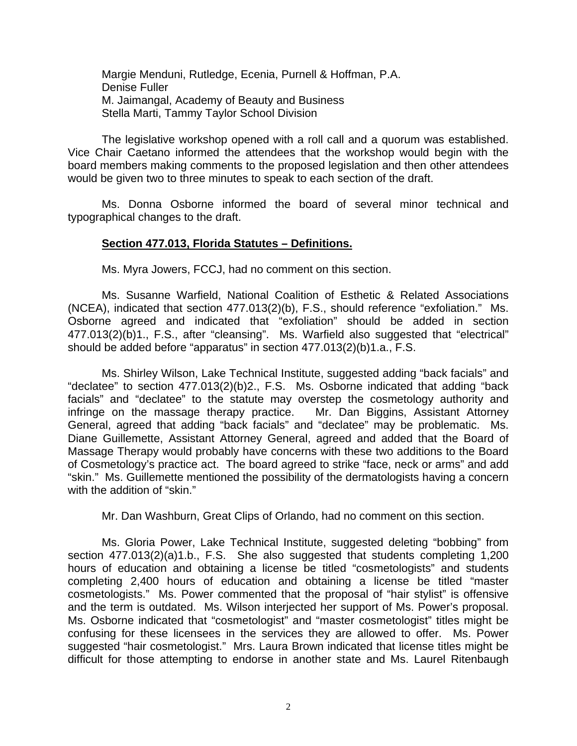Margie Menduni, Rutledge, Ecenia, Purnell & Hoffman, P.A. Denise Fuller M. Jaimangal, Academy of Beauty and Business Stella Marti, Tammy Taylor School Division

The legislative workshop opened with a roll call and a quorum was established. Vice Chair Caetano informed the attendees that the workshop would begin with the board members making comments to the proposed legislation and then other attendees would be given two to three minutes to speak to each section of the draft.

Ms. Donna Osborne informed the board of several minor technical and typographical changes to the draft.

#### **Section 477.013, Florida Statutes – Definitions.**

Ms. Myra Jowers, FCCJ, had no comment on this section.

Ms. Susanne Warfield, National Coalition of Esthetic & Related Associations (NCEA), indicated that section 477.013(2)(b), F.S., should reference "exfoliation." Ms. Osborne agreed and indicated that "exfoliation" should be added in section 477.013(2)(b)1., F.S., after "cleansing". Ms. Warfield also suggested that "electrical" should be added before "apparatus" in section 477.013(2)(b)1.a., F.S.

Ms. Shirley Wilson, Lake Technical Institute, suggested adding "back facials" and "declatee" to section 477.013(2)(b)2., F.S. Ms. Osborne indicated that adding "back facials" and "declatee" to the statute may overstep the cosmetology authority and infringe on the massage therapy practice. Mr. Dan Biggins, Assistant Attorney General, agreed that adding "back facials" and "declatee" may be problematic. Ms. Diane Guillemette, Assistant Attorney General, agreed and added that the Board of Massage Therapy would probably have concerns with these two additions to the Board of Cosmetology's practice act. The board agreed to strike "face, neck or arms" and add "skin." Ms. Guillemette mentioned the possibility of the dermatologists having a concern with the addition of "skin."

Mr. Dan Washburn, Great Clips of Orlando, had no comment on this section.

Ms. Gloria Power, Lake Technical Institute, suggested deleting "bobbing" from section 477.013(2)(a)1.b., F.S. She also suggested that students completing 1,200 hours of education and obtaining a license be titled "cosmetologists" and students completing 2,400 hours of education and obtaining a license be titled "master cosmetologists." Ms. Power commented that the proposal of "hair stylist" is offensive and the term is outdated. Ms. Wilson interjected her support of Ms. Power's proposal. Ms. Osborne indicated that "cosmetologist" and "master cosmetologist" titles might be confusing for these licensees in the services they are allowed to offer. Ms. Power suggested "hair cosmetologist." Mrs. Laura Brown indicated that license titles might be difficult for those attempting to endorse in another state and Ms. Laurel Ritenbaugh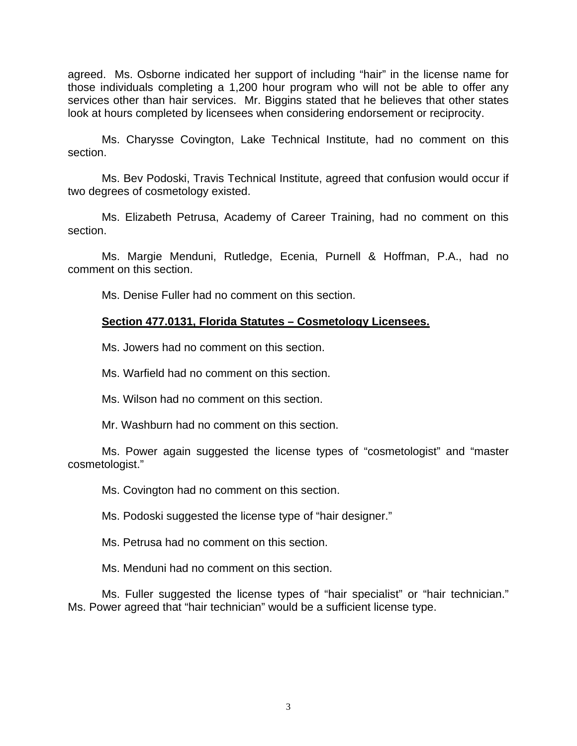agreed. Ms. Osborne indicated her support of including "hair" in the license name for those individuals completing a 1,200 hour program who will not be able to offer any services other than hair services. Mr. Biggins stated that he believes that other states look at hours completed by licensees when considering endorsement or reciprocity.

Ms. Charysse Covington, Lake Technical Institute, had no comment on this section.

Ms. Bev Podoski, Travis Technical Institute, agreed that confusion would occur if two degrees of cosmetology existed.

Ms. Elizabeth Petrusa, Academy of Career Training, had no comment on this section.

Ms. Margie Menduni, Rutledge, Ecenia, Purnell & Hoffman, P.A., had no comment on this section.

Ms. Denise Fuller had no comment on this section.

# **Section 477.0131, Florida Statutes – Cosmetology Licensees.**

Ms. Jowers had no comment on this section.

Ms. Warfield had no comment on this section.

Ms. Wilson had no comment on this section.

Mr. Washburn had no comment on this section.

Ms. Power again suggested the license types of "cosmetologist" and "master cosmetologist."

Ms. Covington had no comment on this section.

Ms. Podoski suggested the license type of "hair designer."

Ms. Petrusa had no comment on this section.

Ms. Menduni had no comment on this section.

Ms. Fuller suggested the license types of "hair specialist" or "hair technician." Ms. Power agreed that "hair technician" would be a sufficient license type.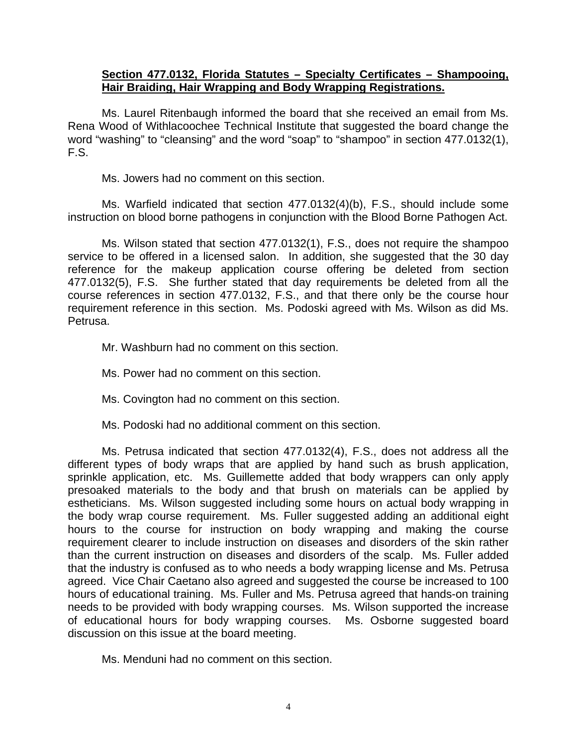### **Section 477.0132, Florida Statutes – Specialty Certificates – Shampooing, Hair Braiding, Hair Wrapping and Body Wrapping Registrations.**

Ms. Laurel Ritenbaugh informed the board that she received an email from Ms. Rena Wood of Withlacoochee Technical Institute that suggested the board change the word "washing" to "cleansing" and the word "soap" to "shampoo" in section 477.0132(1), F.S.

Ms. Jowers had no comment on this section.

Ms. Warfield indicated that section 477.0132(4)(b), F.S., should include some instruction on blood borne pathogens in conjunction with the Blood Borne Pathogen Act.

Ms. Wilson stated that section 477.0132(1), F.S., does not require the shampoo service to be offered in a licensed salon. In addition, she suggested that the 30 day reference for the makeup application course offering be deleted from section 477.0132(5), F.S. She further stated that day requirements be deleted from all the course references in section 477.0132, F.S., and that there only be the course hour requirement reference in this section. Ms. Podoski agreed with Ms. Wilson as did Ms. Petrusa.

Mr. Washburn had no comment on this section.

Ms. Power had no comment on this section.

Ms. Covington had no comment on this section.

Ms. Podoski had no additional comment on this section.

Ms. Petrusa indicated that section 477.0132(4), F.S., does not address all the different types of body wraps that are applied by hand such as brush application, sprinkle application, etc. Ms. Guillemette added that body wrappers can only apply presoaked materials to the body and that brush on materials can be applied by estheticians. Ms. Wilson suggested including some hours on actual body wrapping in the body wrap course requirement. Ms. Fuller suggested adding an additional eight hours to the course for instruction on body wrapping and making the course requirement clearer to include instruction on diseases and disorders of the skin rather than the current instruction on diseases and disorders of the scalp. Ms. Fuller added that the industry is confused as to who needs a body wrapping license and Ms. Petrusa agreed. Vice Chair Caetano also agreed and suggested the course be increased to 100 hours of educational training. Ms. Fuller and Ms. Petrusa agreed that hands-on training needs to be provided with body wrapping courses. Ms. Wilson supported the increase of educational hours for body wrapping courses. Ms. Osborne suggested board discussion on this issue at the board meeting.

Ms. Menduni had no comment on this section.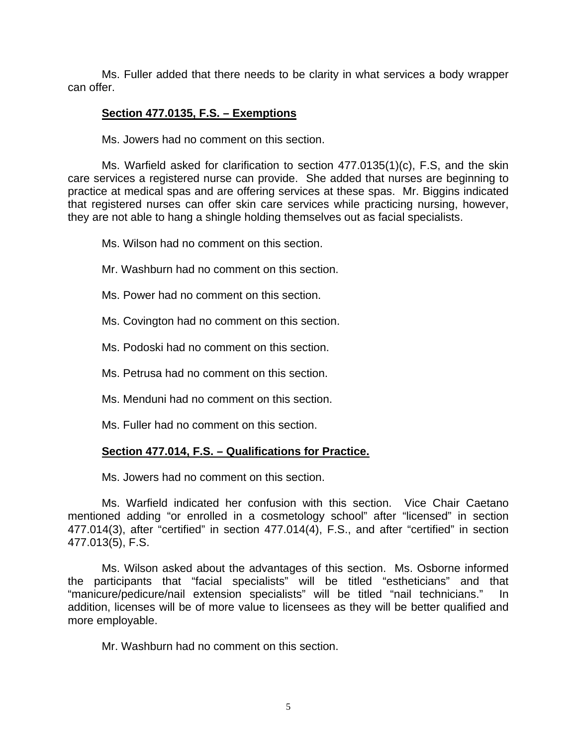Ms. Fuller added that there needs to be clarity in what services a body wrapper can offer.

# **Section 477.0135, F.S. – Exemptions**

Ms. Jowers had no comment on this section.

Ms. Warfield asked for clarification to section 477.0135(1)(c), F.S, and the skin care services a registered nurse can provide. She added that nurses are beginning to practice at medical spas and are offering services at these spas. Mr. Biggins indicated that registered nurses can offer skin care services while practicing nursing, however, they are not able to hang a shingle holding themselves out as facial specialists.

Ms. Wilson had no comment on this section.

Mr. Washburn had no comment on this section.

Ms. Power had no comment on this section.

Ms. Covington had no comment on this section.

Ms. Podoski had no comment on this section.

Ms. Petrusa had no comment on this section.

Ms. Menduni had no comment on this section.

Ms. Fuller had no comment on this section.

# **Section 477.014, F.S. – Qualifications for Practice.**

Ms. Jowers had no comment on this section.

Ms. Warfield indicated her confusion with this section. Vice Chair Caetano mentioned adding "or enrolled in a cosmetology school" after "licensed" in section 477.014(3), after "certified" in section 477.014(4), F.S., and after "certified" in section 477.013(5), F.S.

Ms. Wilson asked about the advantages of this section. Ms. Osborne informed the participants that "facial specialists" will be titled "estheticians" and that "manicure/pedicure/nail extension specialists" will be titled "nail technicians." In addition, licenses will be of more value to licensees as they will be better qualified and more employable.

Mr. Washburn had no comment on this section.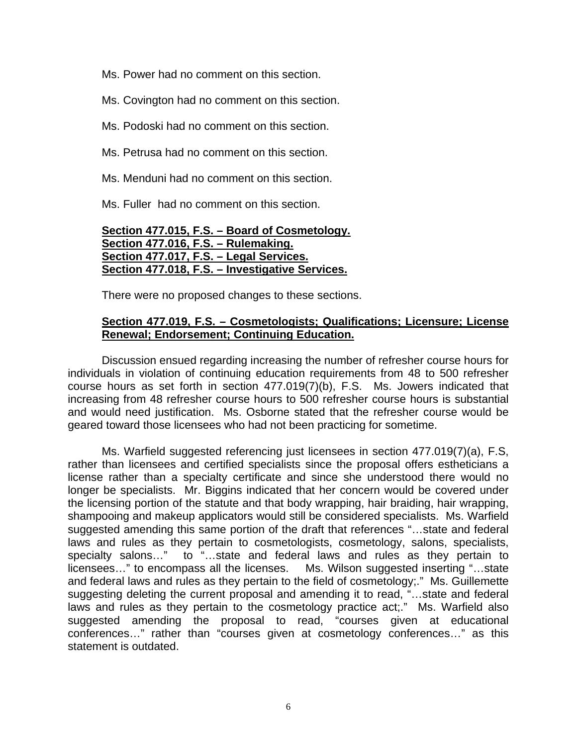Ms. Power had no comment on this section.

Ms. Covington had no comment on this section.

Ms. Podoski had no comment on this section.

Ms. Petrusa had no comment on this section.

Ms. Menduni had no comment on this section.

Ms. Fuller had no comment on this section.

# **Section 477.015, F.S. – Board of Cosmetology. Section 477.016, F.S. – Rulemaking. Section 477.017, F.S. – Legal Services. Section 477.018, F.S. – Investigative Services.**

There were no proposed changes to these sections.

# **Section 477.019, F.S. – Cosmetologists; Qualifications; Licensure; License Renewal; Endorsement; Continuing Education.**

Discussion ensued regarding increasing the number of refresher course hours for individuals in violation of continuing education requirements from 48 to 500 refresher course hours as set forth in section 477.019(7)(b), F.S. Ms. Jowers indicated that increasing from 48 refresher course hours to 500 refresher course hours is substantial and would need justification. Ms. Osborne stated that the refresher course would be geared toward those licensees who had not been practicing for sometime.

Ms. Warfield suggested referencing just licensees in section 477.019(7)(a), F.S, rather than licensees and certified specialists since the proposal offers estheticians a license rather than a specialty certificate and since she understood there would no longer be specialists. Mr. Biggins indicated that her concern would be covered under the licensing portion of the statute and that body wrapping, hair braiding, hair wrapping, shampooing and makeup applicators would still be considered specialists. Ms. Warfield suggested amending this same portion of the draft that references "…state and federal laws and rules as they pertain to cosmetologists, cosmetology, salons, specialists, specialty salons..." to "...state and federal laws and rules as they pertain to licensees…" to encompass all the licenses. Ms. Wilson suggested inserting "…state and federal laws and rules as they pertain to the field of cosmetology;." Ms. Guillemette suggesting deleting the current proposal and amending it to read, "…state and federal laws and rules as they pertain to the cosmetology practice act;." Ms. Warfield also suggested amending the proposal to read, "courses given at educational conferences…" rather than "courses given at cosmetology conferences…" as this statement is outdated.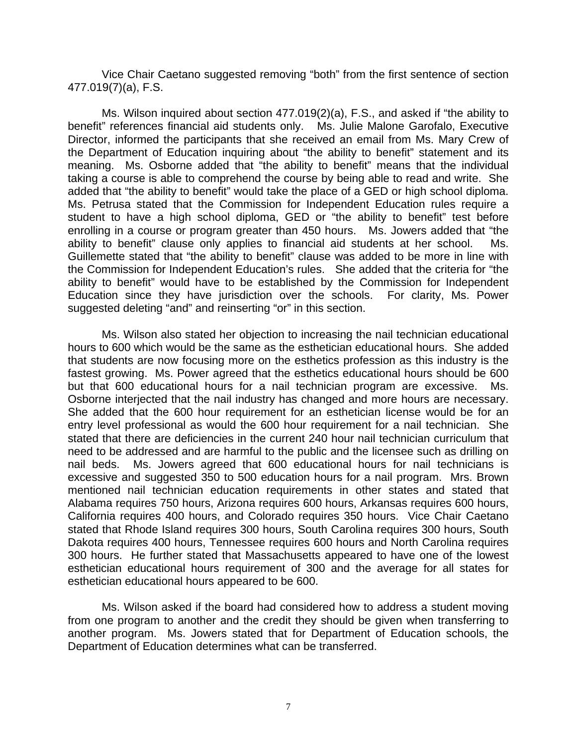Vice Chair Caetano suggested removing "both" from the first sentence of section 477.019(7)(a), F.S.

Ms. Wilson inquired about section 477.019(2)(a), F.S., and asked if "the ability to benefit" references financial aid students only. Ms. Julie Malone Garofalo, Executive Director, informed the participants that she received an email from Ms. Mary Crew of the Department of Education inquiring about "the ability to benefit" statement and its meaning. Ms. Osborne added that "the ability to benefit" means that the individual taking a course is able to comprehend the course by being able to read and write. She added that "the ability to benefit" would take the place of a GED or high school diploma. Ms. Petrusa stated that the Commission for Independent Education rules require a student to have a high school diploma, GED or "the ability to benefit" test before enrolling in a course or program greater than 450 hours. Ms. Jowers added that "the ability to benefit" clause only applies to financial aid students at her school. Ms. Guillemette stated that "the ability to benefit" clause was added to be more in line with the Commission for Independent Education's rules. She added that the criteria for "the ability to benefit" would have to be established by the Commission for Independent Education since they have jurisdiction over the schools. For clarity, Ms. Power suggested deleting "and" and reinserting "or" in this section.

Ms. Wilson also stated her objection to increasing the nail technician educational hours to 600 which would be the same as the esthetician educational hours. She added that students are now focusing more on the esthetics profession as this industry is the fastest growing. Ms. Power agreed that the esthetics educational hours should be 600 but that 600 educational hours for a nail technician program are excessive. Ms. Osborne interjected that the nail industry has changed and more hours are necessary. She added that the 600 hour requirement for an esthetician license would be for an entry level professional as would the 600 hour requirement for a nail technician. She stated that there are deficiencies in the current 240 hour nail technician curriculum that need to be addressed and are harmful to the public and the licensee such as drilling on nail beds. Ms. Jowers agreed that 600 educational hours for nail technicians is excessive and suggested 350 to 500 education hours for a nail program. Mrs. Brown mentioned nail technician education requirements in other states and stated that Alabama requires 750 hours, Arizona requires 600 hours, Arkansas requires 600 hours, California requires 400 hours, and Colorado requires 350 hours. Vice Chair Caetano stated that Rhode Island requires 300 hours, South Carolina requires 300 hours, South Dakota requires 400 hours, Tennessee requires 600 hours and North Carolina requires 300 hours. He further stated that Massachusetts appeared to have one of the lowest esthetician educational hours requirement of 300 and the average for all states for esthetician educational hours appeared to be 600.

Ms. Wilson asked if the board had considered how to address a student moving from one program to another and the credit they should be given when transferring to another program. Ms. Jowers stated that for Department of Education schools, the Department of Education determines what can be transferred.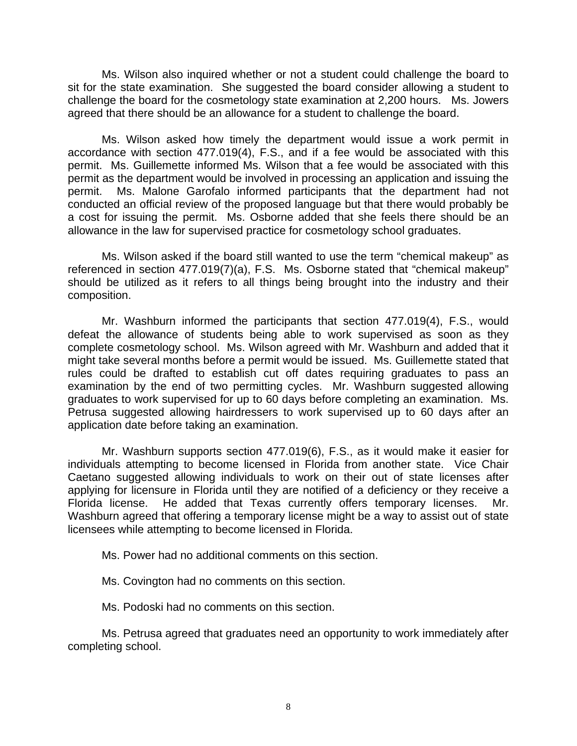Ms. Wilson also inquired whether or not a student could challenge the board to sit for the state examination. She suggested the board consider allowing a student to challenge the board for the cosmetology state examination at 2,200 hours. Ms. Jowers agreed that there should be an allowance for a student to challenge the board.

Ms. Wilson asked how timely the department would issue a work permit in accordance with section 477.019(4), F.S., and if a fee would be associated with this permit. Ms. Guillemette informed Ms. Wilson that a fee would be associated with this permit as the department would be involved in processing an application and issuing the permit. Ms. Malone Garofalo informed participants that the department had not conducted an official review of the proposed language but that there would probably be a cost for issuing the permit. Ms. Osborne added that she feels there should be an allowance in the law for supervised practice for cosmetology school graduates.

Ms. Wilson asked if the board still wanted to use the term "chemical makeup" as referenced in section 477.019(7)(a), F.S. Ms. Osborne stated that "chemical makeup" should be utilized as it refers to all things being brought into the industry and their composition.

Mr. Washburn informed the participants that section 477.019(4), F.S., would defeat the allowance of students being able to work supervised as soon as they complete cosmetology school. Ms. Wilson agreed with Mr. Washburn and added that it might take several months before a permit would be issued. Ms. Guillemette stated that rules could be drafted to establish cut off dates requiring graduates to pass an examination by the end of two permitting cycles. Mr. Washburn suggested allowing graduates to work supervised for up to 60 days before completing an examination. Ms. Petrusa suggested allowing hairdressers to work supervised up to 60 days after an application date before taking an examination.

Mr. Washburn supports section 477.019(6), F.S., as it would make it easier for individuals attempting to become licensed in Florida from another state. Vice Chair Caetano suggested allowing individuals to work on their out of state licenses after applying for licensure in Florida until they are notified of a deficiency or they receive a Florida license. He added that Texas currently offers temporary licenses. Mr. Washburn agreed that offering a temporary license might be a way to assist out of state licensees while attempting to become licensed in Florida.

Ms. Power had no additional comments on this section.

Ms. Covington had no comments on this section.

Ms. Podoski had no comments on this section.

Ms. Petrusa agreed that graduates need an opportunity to work immediately after completing school.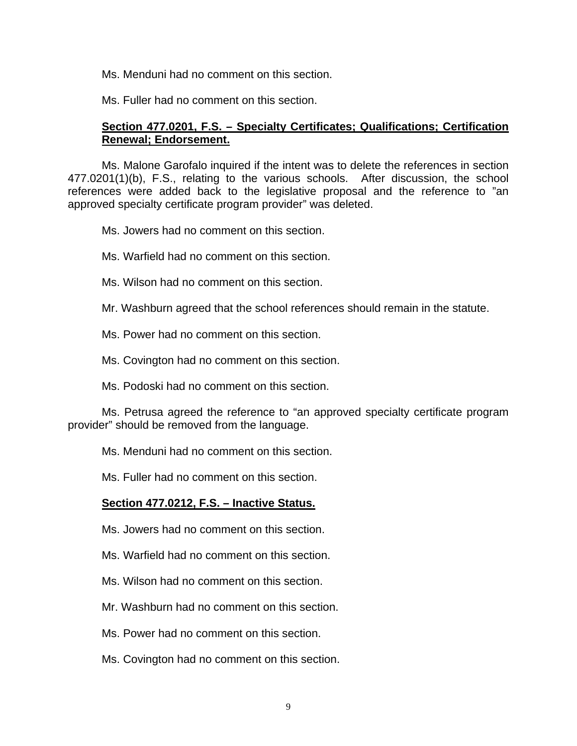Ms. Menduni had no comment on this section.

Ms. Fuller had no comment on this section.

# **Section 477.0201, F.S. – Specialty Certificates; Qualifications; Certification Renewal; Endorsement.**

Ms. Malone Garofalo inquired if the intent was to delete the references in section 477.0201(1)(b), F.S., relating to the various schools. After discussion, the school references were added back to the legislative proposal and the reference to "an approved specialty certificate program provider" was deleted.

Ms. Jowers had no comment on this section.

Ms. Warfield had no comment on this section.

Ms. Wilson had no comment on this section.

Mr. Washburn agreed that the school references should remain in the statute.

Ms. Power had no comment on this section.

Ms. Covington had no comment on this section.

Ms. Podoski had no comment on this section.

Ms. Petrusa agreed the reference to "an approved specialty certificate program provider" should be removed from the language.

Ms. Menduni had no comment on this section.

Ms. Fuller had no comment on this section.

# **Section 477.0212, F.S. – Inactive Status.**

Ms. Jowers had no comment on this section.

Ms. Warfield had no comment on this section.

Ms. Wilson had no comment on this section.

Mr. Washburn had no comment on this section.

Ms. Power had no comment on this section.

Ms. Covington had no comment on this section.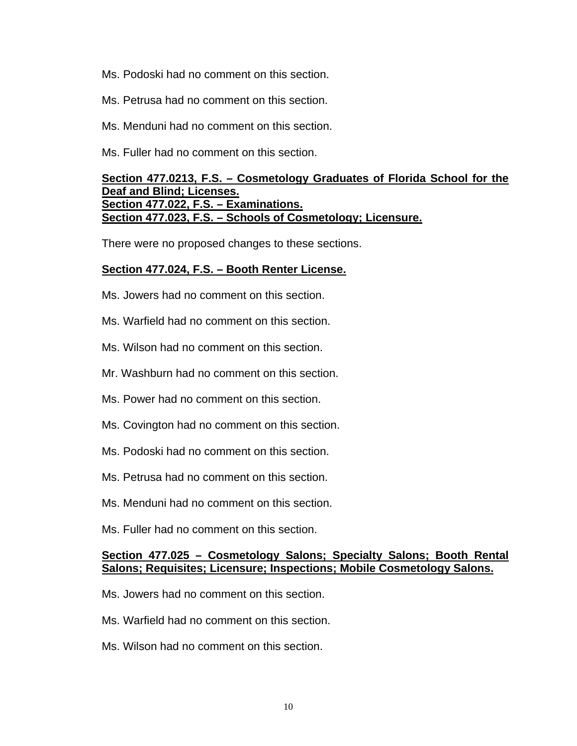Ms. Podoski had no comment on this section.

- Ms. Petrusa had no comment on this section.
- Ms. Menduni had no comment on this section.

Ms. Fuller had no comment on this section.

### **Section 477.0213, F.S. – Cosmetology Graduates of Florida School for the Deaf and Blind; Licenses. Section 477.022, F.S. – Examinations. Section 477.023, F.S. – Schools of Cosmetology; Licensure.**

There were no proposed changes to these sections.

#### **Section 477.024, F.S. – Booth Renter License.**

- Ms. Jowers had no comment on this section.
- Ms. Warfield had no comment on this section.
- Ms. Wilson had no comment on this section.
- Mr. Washburn had no comment on this section.
- Ms. Power had no comment on this section.
- Ms. Covington had no comment on this section.
- Ms. Podoski had no comment on this section.
- Ms. Petrusa had no comment on this section.
- Ms. Menduni had no comment on this section.
- Ms. Fuller had no comment on this section.

# **Section 477.025 – Cosmetology Salons; Specialty Salons; Booth Rental Salons; Requisites; Licensure; Inspections; Mobile Cosmetology Salons.**

- Ms. Jowers had no comment on this section.
- Ms. Warfield had no comment on this section.
- Ms. Wilson had no comment on this section.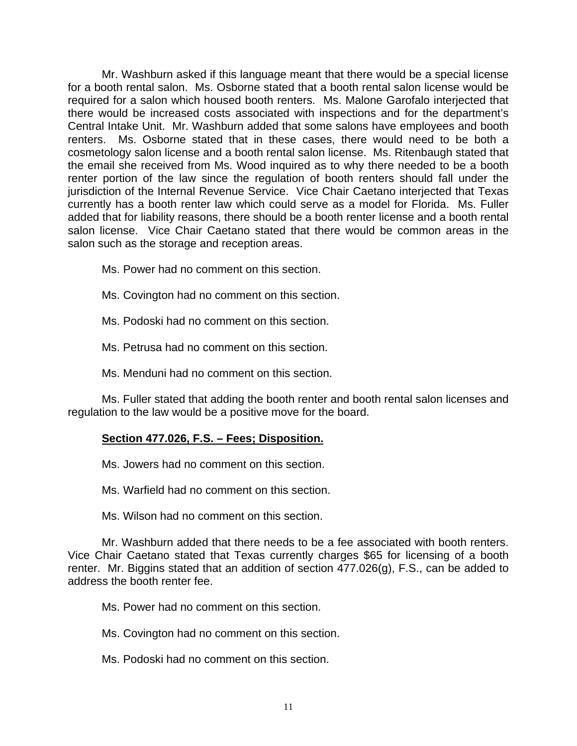Mr. Washburn asked if this language meant that there would be a special license for a booth rental salon. Ms. Osborne stated that a booth rental salon license would be required for a salon which housed booth renters. Ms. Malone Garofalo interjected that there would be increased costs associated with inspections and for the department's Central Intake Unit. Mr. Washburn added that some salons have employees and booth renters. Ms. Osborne stated that in these cases, there would need to be both a cosmetology salon license and a booth rental salon license. Ms. Ritenbaugh stated that the email she received from Ms. Wood inquired as to why there needed to be a booth renter portion of the law since the regulation of booth renters should fall under the jurisdiction of the Internal Revenue Service. Vice Chair Caetano interjected that Texas currently has a booth renter law which could serve as a model for Florida. Ms. Fuller added that for liability reasons, there should be a booth renter license and a booth rental salon license. Vice Chair Caetano stated that there would be common areas in the salon such as the storage and reception areas.

- Ms. Power had no comment on this section.
- Ms. Covington had no comment on this section.
- Ms. Podoski had no comment on this section.
- Ms. Petrusa had no comment on this section.
- Ms. Menduni had no comment on this section.

Ms. Fuller stated that adding the booth renter and booth rental salon licenses and regulation to the law would be a positive move for the board.

# **Section 477.026, F.S. – Fees; Disposition.**

Ms. Jowers had no comment on this section.

Ms. Warfield had no comment on this section.

Ms. Wilson had no comment on this section.

Mr. Washburn added that there needs to be a fee associated with booth renters. Vice Chair Caetano stated that Texas currently charges \$65 for licensing of a booth renter. Mr. Biggins stated that an addition of section 477.026(g), F.S., can be added to address the booth renter fee.

Ms. Power had no comment on this section.

Ms. Covington had no comment on this section.

Ms. Podoski had no comment on this section.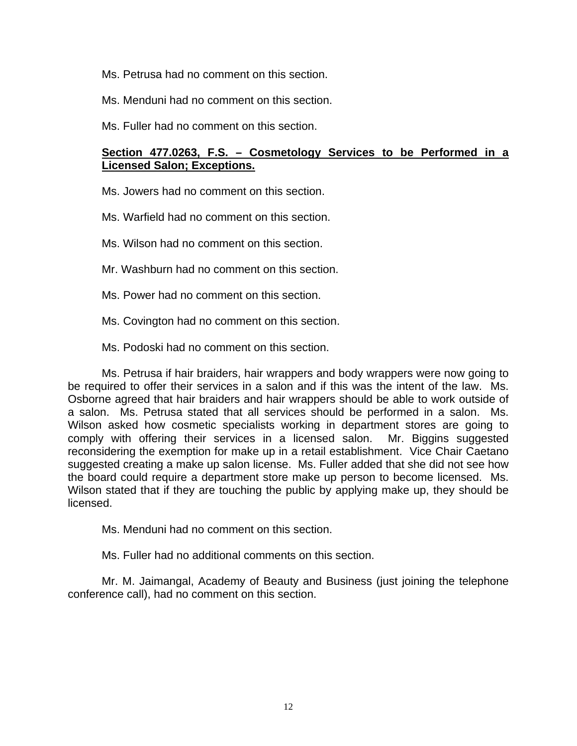Ms. Petrusa had no comment on this section.

Ms. Menduni had no comment on this section.

Ms. Fuller had no comment on this section.

# **Section 477.0263, F.S. – Cosmetology Services to be Performed in a Licensed Salon; Exceptions.**

Ms. Jowers had no comment on this section.

Ms. Warfield had no comment on this section.

Ms. Wilson had no comment on this section.

Mr. Washburn had no comment on this section.

Ms. Power had no comment on this section.

Ms. Covington had no comment on this section.

Ms. Podoski had no comment on this section.

Ms. Petrusa if hair braiders, hair wrappers and body wrappers were now going to be required to offer their services in a salon and if this was the intent of the law. Ms. Osborne agreed that hair braiders and hair wrappers should be able to work outside of a salon. Ms. Petrusa stated that all services should be performed in a salon. Ms. Wilson asked how cosmetic specialists working in department stores are going to comply with offering their services in a licensed salon. Mr. Biggins suggested reconsidering the exemption for make up in a retail establishment. Vice Chair Caetano suggested creating a make up salon license. Ms. Fuller added that she did not see how the board could require a department store make up person to become licensed. Ms. Wilson stated that if they are touching the public by applying make up, they should be licensed.

Ms. Menduni had no comment on this section.

Ms. Fuller had no additional comments on this section.

Mr. M. Jaimangal, Academy of Beauty and Business (just joining the telephone conference call), had no comment on this section.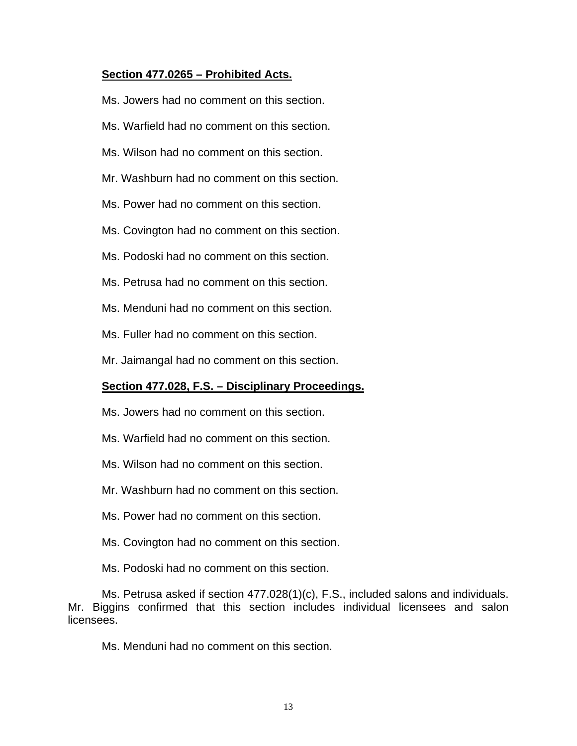# **Section 477.0265 – Prohibited Acts.**

Ms. Jowers had no comment on this section.

- Ms. Warfield had no comment on this section.
- Ms. Wilson had no comment on this section.
- Mr. Washburn had no comment on this section.
- Ms. Power had no comment on this section.
- Ms. Covington had no comment on this section.
- Ms. Podoski had no comment on this section.
- Ms. Petrusa had no comment on this section.
- Ms. Menduni had no comment on this section.
- Ms. Fuller had no comment on this section.
- Mr. Jaimangal had no comment on this section.

#### **Section 477.028, F.S. – Disciplinary Proceedings.**

- Ms. Jowers had no comment on this section.
- Ms. Warfield had no comment on this section.
- Ms. Wilson had no comment on this section.
- Mr. Washburn had no comment on this section.
- Ms. Power had no comment on this section.
- Ms. Covington had no comment on this section.
- Ms. Podoski had no comment on this section.

Ms. Petrusa asked if section 477.028(1)(c), F.S., included salons and individuals. Mr. Biggins confirmed that this section includes individual licensees and salon licensees.

Ms. Menduni had no comment on this section.